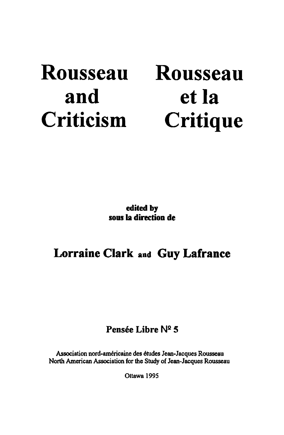# Rousseau and **Criticism**

# Rousseau et la **Critique**

edited by sous la direction de

### Lorraine Clark and Guy Lafrance

### Pensée Libre  $N^2$  5

Association nord-américaine des études Jean-Jacques Rousseau North American Association for the Study of Jean-Jacques Rousseau

Ottawa 1995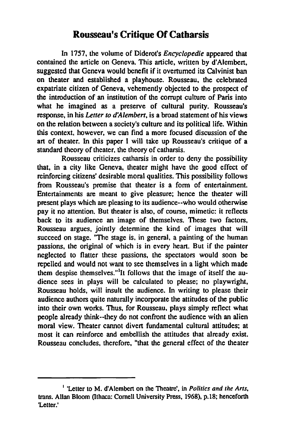#### **Rousseau's Critique Of Catharsis**

In 1757, the volume of Diderot's *Encyclopedie* appeared that contained the article on Geneva. This article, written by d'Alembert, suggested that Geneva would benefit if it overtumed its Calvinist ban on theater and established a playhouse. Rousseau, the celebrated expatriate citizen of Geneva, vehemently objected to the prospect of the introduction of an institution of the conupt culture of Paris into what he imagined as a preserve of cultural purity. Rousseau's response, in his *Letter to d'Alembert*, is a broad statement of his views on the relation between a society's culture and its political Iife. Within this context, however. we can find a more focused discussion of the art of theater. In this paper 1 will take up Rousseau's critique of a standard theory of theater. the theory of catharsis.

Rousseau criticizes catharsis in order to deny the possibility that. in a city like Geneva, theater might have the good effect of reinforcing citizens' desirable moral qualities. This possibility follows from Rousseau's premise that theater is a form of entertainment. Entertainments are meant to give pleasure; hence the theater will present plays which are pleasing to its audience--who would otherwise pay it no attention. But theater is also, of course, mimetic: it reflects back to its audience an image of themselves. These two factors, Rousseau argues, jointly determine the kind of images that will succeed on stage. "The stage is, in general, a painting of the human passions, the original of which is in every heart. But if the painter neglected to flatter these passions, the spectators would soon he repelled and would not want to see themselves in a light which made them despise themselves."<sup>1</sup>It follows that the image of itself the audience sees in plays will he calculated to please; no playwright, Rousseau holds, will insult the audience. In writing to please their audience authors quile naturally incorporale the attitudes of the public into their own works. Thus, for Rousseau, plays simply reflect what people already think--they do not confront the audience with an alien moral view. Theater cannot divert fundamental cultural attitudes; at most it can reinforce and embeJlish the attitudes that already exist. Rousseau concludes, therefore, "that the general effect of the theater

<sup>&</sup>lt;sup>1</sup> 'Letter to M. d'Alembert on the Theatre', in *Politics and the Arts*, trans. Allan Bloom (Ithaca: Cornell University Press, 1968), p.18; henceforth 'Letter.'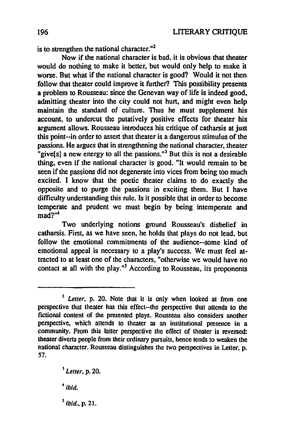is to strengthen the national character. $n^2$ 

Now if the national character is bad. it is obvious that theater would do nothing to make it better. but would ooly help to make it worse. But what if the national character is good? Would it not then follow that theater could improve it further? This possibility presents a problem to Rousseau: since the Genevan way of Iife is indeed good. admitting theater into the city could not hurt. and might even help maintain the standard of culture. Thus he must supplement bis account, to undercut the putatively positive effects for theater his argument allows. Rousseau introduces bis critique of catharsis at just this point--in order to assert that theater is a dangerous stimulus of the passions. He argues that in strengthening the national character. theater "give[s] a new energy to ail the passions.'" But this is not a desirable thing. evcn if the national character is good. "It would remain to be seen if the passions did not degenerate into vices from being too much excited. 1 know that the poetic theater claims to do exactly the opposite and to purge the passions in exciting them. But 1 have difficulty understanding this rule. Is it possible that in order to become temperate and prudent we must begin by being intemperate and  $m$ ad?"<sup>4</sup>

Two underlying notions ground Rousseau's disbelief in catharsis. First. as we have seen. he holds that plays do not lead. but follow the emotional commitments of the audience--some kind of emotional appeal is necessary to a play's success. We must feel attracted to at least one of the characters, "otherwise we would have no contact at all with the play."<sup>5</sup> According to Rousseau, its proponents

 $<sup>5</sup>$  ibid., p. 21.</sup>

 $4$ ibid.

<sup>&</sup>lt;sup>2</sup> Letter, p. 20. Note that it is only when looked at from one perspective that theater has this effect--the perspective that attends to the fictional content of the presenled plays. Rousseau aIso considers anolher perspective. whieh attends to theater as an institutional presence in a community. From this latter perspective the effeet of theater is reversed: theater diverts people from their ordinary pursuits. hence tends to weaken the national chameter. Rousseau distinguishes the two perspectives in Lelter. p. 57.

<sup>]</sup> *Lel/er.* p. 20.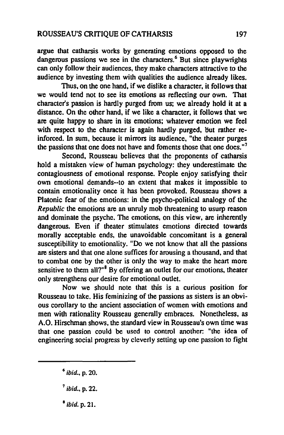argue that catharsis works by generating emotions opposed to the dangerous passions we see in the characters.<sup>6</sup> But since playwrights can only follow their audiences, they make characters attractive to the audience by investing them with qualities the audience already likes.

Thus, on the one hand, if we dislike a character, it follows that we would tend not to see its emotions as reflecting our own. That characler's passion is hardly purged from us; we already hold it at a distance. On the other hand, if we like a character. it follows that we are quite happy to share in its emotions; whatever emotion we feel with respect to the character is again hardly purged. But rather reinforced. ln sum, because it mirrors its audience, "the thealer purges the passions that one does not have and foments those that one does."<sup>7</sup>

Second, Rousseau believes that the proponents of catharsis hold a mistaken view of human psychology: they underestimate the conlagiousness of emotional response. People enjoy satisfying their own emotional demands--to an extent that makes it impossible to contain emotionality once it has been provoked. Rousseau shows a Platonic fear of the emotions: in the psycho-political analogy of the *Republic* the emotions are an unruly mob threatening to usurp reason and dominate the psyche. The emotions. on this view. are inherently dangerous. Even if theater stimulates emotions directed towards morally acceptable ends. the unavoidable concomitant is a general susceptibility to emotionality. "Do we not know that all the passions are sisters and that one alone suffices for arousing a thousand, and that to combat one by the other is only the way to make the heart more sensitive to them all?" $8$  By offering an outlet for our emotions, theater only strengthens our desire for emotional outlet.

Now we should note that this is a curious position for Rousseau to take. His feminizing of the passions as sisters is an obvious corollary to the ancient association of women with emotions and men with rationality Rousseau generally embraces. Nonetheless. as A.O. Hirschman shows, the standard view in Rousseau's own time was that one passion could be used to control anolher: "the idea of engineering social progress by cleverly setting up one passion to fight

- $^7$  ibid., p. 22.
- $<sup>8</sup>$  ibid. p. 21.</sup>

*<sup>6</sup>*ibid., p. 20.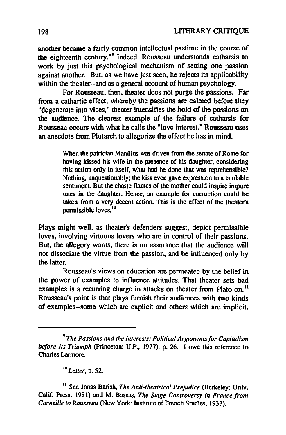another became a fairly common intellectual pastime in the course of the eighteenth century."<sup>9</sup> Indeed, Rousseau understands catharsis to work by just this psychological mechanism of setting one passion against another. But, as we have just seen, he rejects its applicability within the theater--and as a general account of human psychology.

For Rousseau, then, theater does not purge the passions. Far from a cathartic effect, whereby the passions are calmed before they "degenerate into vices," theater intensifies the hold of the passions on the audience. The clearest example of the failure of catharsis for Rousseau occurs with what he calls the "love interest." Rousseau uses an anecdote from Plutarch to allegorize the effect he has in mind.

> When the patrician Manilius was driven from the senate of Rome for having kissed his wife in the presence of his daughter, considering this action only in itself, what had he donc that was reprehensible? Nothing, unquestionably; the kiss even gave expression to a laudable sentiment. But the chaste flames of the mother could inspire impure ones in the daughter. Hence. an example for corruption could be taken from a very decent action. This is the effect of the thealer's permissible loves.<sup>10</sup>

Plays might well, as theater's defenders suggest, depict permissible loves. involving virtuous lovers who are in control of their passions. But. the allegory warns, there is no assurance that the audience will not dissociate the virtue from the passion, and he influenced ooly by the latter.

Rousseau's views on education are permeated by the helief in the power of examples to influence attitudes. That theater sets bad examples is a recurring charge in attacks on theater from Plato on.<sup>11</sup> Rousseau's point is that plays furnish their audiences with two kinds of examples--some which are explicit and others which are implicit.

<sup>10</sup> Letter, p. 52.

<sup>&</sup>lt;sup>9</sup> The Passions and the Interests: Political Arguments for Capitalism *be/ore lts Triumph* (Princeton: U.P., 1977), p. 26. 1 owe Ihis reference to Charles Larmore.

<sup>&</sup>lt;sup>12</sup> See Jonas Barish, *The Anti-theatrical Prejudice* (Berkeley: Univ. Calü. Press, 1981) and M. Sassas, *The Stage Controversy in France /rom Corneille* 10 *Rousseau* (New York: Institute of French Studies, 1933).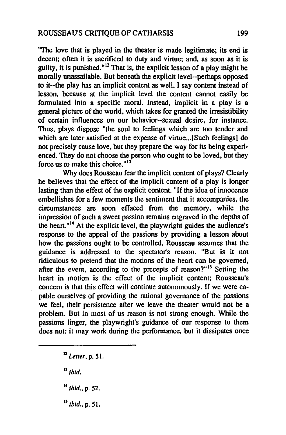"The love that is played in the theater is made legitimate; its end is decent; often it is sacrificed to duty and virtue; and, as soon as it is guilty, it is punished." $12$  That is, the explicit lesson of a play might be morally unassailable. But heneath the explicit level--perhaps opposed to it--the play has an implicit content as weil. 1 say content instead of lesson, because at the implicit level the content cannot easily be formulated into a specific moral. Instead, implicit in a play is a general picture of the world, which takes for granted the irresistibility of certain influences on our behavior--sexual desire, for instance. Thus, plays dispose "the soul to feelings which are too tender and which are later satisfied at the expense of virtue... [Such feelings] do not precisely cause love, but they prepare the way for its being experienced. They do not choose the person who ought to be loved, but they force us to make this choice.  $13$ 

Why does Rousseau fear the implicit content of plays? Clearly he helieves that the effect of the implicit content of a play is longer lasting than the effect of the explicit content. "If the idea of innocence embellishes for a few moments the sentiment that it accompanies, the circumstances are soon effaced from the memory, while the impression of such a sweet passion remains engraved in the depths of the heart."<sup>14</sup> At the explicit level, the playwright guides the audience's response to the appeal of the passions by providing a lesson about how the passions ought to he controlled. Rousseau assumes that the guidance is addressed 10 the spectator's reason. "But is it not ridiculous to pretend that the motions of the heart can be governed, after the event, according to the precepts of reason?"<sup>15</sup> Setting the heart in motion is the effect of the implicit content; Rousseau's concem is that this effect will continue autonomously. If we were capable ourselves of providing the rational govemance of the passions we feel, their persistence after we leave the theater would not be a problem. But in most of us reason is not strong enough. White the passions linger, the playwright's guidance of our response to them does not: it may work during the performance, but it dissipates once

<sup>12</sup>*Leuer,* p. 5 l.

 $13$  ibid.

 $14$  ibid., p. 52.

 $^{15}$  ibid., p. 51.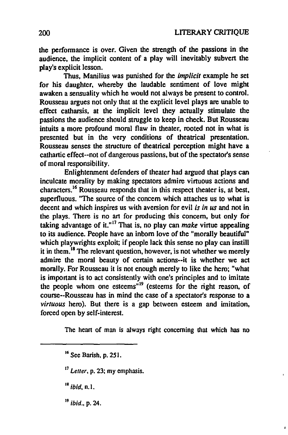the performance is over. Given the strength of the passions in the audience, the implicit content of a play will inevitably subvert the play's explicit lesson.

Thus, Manilius was punished for the *implicit* example he set for bis daughter, whereby the laudable sentiment of love might awaken a sensuality which he would not always be present to control. Rousseau argues not only that at the explicit level plays are unable to effect catharsis, at the implicit level they actually stimulate the passions the audience should struggle to keep in check. But Rousseau intuits a more profound moral flaw in theater, rooted not in what is presented but in the very conditions of theatrical presentation. Rousseau senses the structure of theatrical perception might have a cathartic effect--not of dangerous passions, but of the spectator's sense of moral responsibility.

Enlightenment defenders of theater had argued that plays can inculcate morality by making spectators admire virtuous actions and characters.16 Rousseau responds that in this respect theater is. at best, superfluous. "The source of the concern which attaches us to what is decent and which inspires us with aversion for evil *is in us* and not in the plays. There is no art for producing this concern, but only for taking advantage of it."<sup>17</sup> That is, no play can *make* virtue appealing to its audience. People have an inbom love of the "morally beautiful" which playwrights exploit; if people lack this sense no play can instill it in them.<sup>18</sup> The relevant question, however, is not whether we merely admire the moral beauty of certain actions--it is whether we act morally. For Rousseau it is not enough merely to like the hero; "what is imponant is to act consistently with one's principles and to imitate the people whom one esteems"<sup>19</sup> (esteems for the right reason, of course--Rousseau has in mind the case of a spectator's response to a *virtuous* hero). But there is a gap between esteem and imitation, forced open by self-interest.

The heart of man is always right conceming that which has no

 $<sup>16</sup>$  See Barish, p. 251.</sup>

<sup>17</sup>*Letler,* p. 23; my emphasis.

 $18$  ibid. n.l.

 $19$  ibid., p. 24.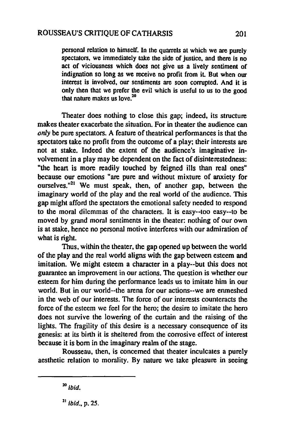personal relation 10 himself. In the quarrels at which we are purely spectators, we immediately take the side of justice, and there is no act of viciousness which does not give us a lively sentiment of indignation so long as we receive no profit from it. But when our interest is involved, our sentiments are soon corrupted. And it is only then that we prefer the evil which is useful to us to the good that nature makes us love.<sup>20</sup>

Theater does nothing to close this gap; indeed, its structure makes theater exacerbate the situation. For in theater the audience can *only* be pure spectators. A feature of theatrical performances is that the spectators take no profit from the outcome of a play; their interests are not at stake. Indeed the extent of the audience's imaginative involvement in a play may be dependent on the fact of disinterestedness: "the heart is more readily touched by feigned ills than real ones" because our emotions "are pure and without mixture of anxiety for ourselves."<sup>21</sup> We must speak, then, of another gap, between the imaginary world of the play and the real world of the audience. This gap might afford the spectators the emotional safety needed to respond to the moral dilemmas of the characters. It is easy--too easy--to he moved by grand moral sentiments in the theater: nothing of our own is at stake, hence no personal motive interferes with our admiration of what is right.

Thus, within the theater, the gap opened up between the world of the play and the real world aligns with the gap between esteem and imitation. We might esteem a character in a play--but this does not guarantee an improvement in our actions. The question is whether our esteem for him during the performance leads us to imitate him in our world. But in our world--the arena for our actions--we are enmeshed in the web of our interests. The force of our interests counteracts the force of the esteem we feel for the hero; the desire to imitate the hero does not survive the lowering of the curtain and the raising of the lights. The fragility of this desire is a necessary conscquence of its genesis: at its birth it is sheltered from the corrosive effect of interest because it is born in the imaginary realm of the stage.

Rousseau, then, is concerned that theater inculcates a purely aesthetic relation to morality. By nature we take pleasure in seeing

 $20$  ibid.

 $^{21}$  ibid., p. 25.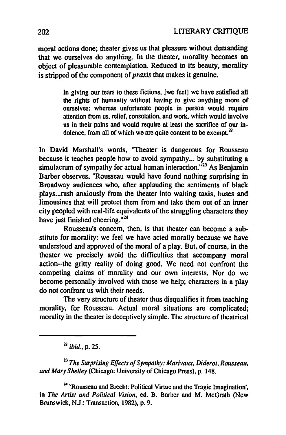moral actions done; theater gives us that pleasure without demanding that we ourselves do anything. In the theater, morality becomes an object of pleasurable contemplation. Reduced to its beauty, morality is stripped of the component of *praxis* that makes it genuine.

> In giving our tears to these fictions, [we feel] we have satisfied all the rights of humanity without having to give anything more of ourselves; whereas unfortunate people in person would require attention from us, relief, consolation, and work. which would involve us in their pains and would require at least the sacrifice of our indolence, from all of which we are quite content to be exempt. $2^2$

In David Marshall's words, 'Theater is dangerous for Rousseau because it teaches people how to avoid sympathy... by substituting a simulacrum of sympathy for actual human interaction.<sup> $123$ </sup> As Benjamin Barber observes, "Rousseau would have found nothing surprising in Broadway audiences who, after applauding the sentiments of black plays... rush anxiously from the theater into waiting taxis, buses and limousines that will protect them from and take them out of an inner city peopled with real-life equivalents of the struggling characters they have just finished cheering."<sup>24</sup>

Rousseau's concem, then, is that theater can become a substitute for morality: we feel we have acted morally because we have understood and approved of the moral of a play. But, of course, in the theater we precisely avoid the difficulties that accompany moral action--the gritty reality of doing good. Wc need not confront the competing claims of morality and our own interests. Nor do we become personally involved with those we help; characters in a play do not confront us with their needs.

The very structure of theater thus disqualifies it from teaching morality, for Rousseau. Actual moral situations are complicated; morality in the theater is dcceptively simple. The structure of theatrical

<sup>22</sup> *ibid.*, p. 25.

<sup>23</sup> The Surprising Effects of Sympathy: Marivaux, Diderot, Rousseau, *and Mary Shelley* (Chicago: University of Chicago Press), p. 148.

2A 'Rousseau and Brecht: Political Virtue and the Tragic Imagination', in *The Artist and Political Vision*, ed. B. Barber and M. McGrath (New Brunswick, NJ.: Transaction, 1982), p. 9.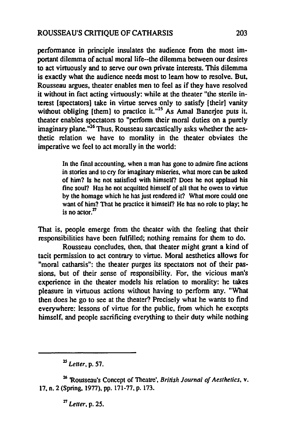perfonnance in principle insulales the audience from the most important dilemma of actual moral life--the dilemma between our desires to act virtuously and to serve our own private interests. This dilemma is exactly what the audience needs most to leam how to resolve. But. Rousseau argues. theater enables men to feel as if they have resolved it without in fact acting virtuously: while at the theater "the sterile interest [spectators] take in virtue serves only to satisfy [their] vanity without obliging [them] to practice it."<sup>25</sup> As Amal Banerjee puts it, theater enables spectators to "perform their moral duties on a purely imaginary plane. $n^{26}$  Thus, Rousseau sarcastically asks whether the aesthetic relation we have to morality in the theater obviates the imperative we feel to act morally in the world:

> In the final accounting, when a man has gone to admire fine actions in stories and to cry for imaginary miseries. what more can be asked of him? Is he not satisfied with himself? Does he not applaud his fine soul? Has he not acquitted himself of all that he owes to virtue by the homage which he has just rendered it? What more could one want of him? That he practice it himself? He has no role to play; he is no actor. $27$

That is, people emerge from the theater with the feeling that their responsibililies have been fulfilled; nothing remains for them to do.

Rousseau concludes, then, that theater might grant a kind of tacit permission to acl conlrary to virtue. Moral aesthetics allows for "moral catharsis": the theater purges its spectators not of their passions, but of their sense of responsibility. For, the vicious man's experience in the theater models bis relation to morality: he takes pleasure in virtuous actions without having to pcrfonn any. "What then does he go to see at the theater? Precisely what he wants to find everywhere: lessons of virtue for the public, from which he excepts himself, and people sacrificing everything to their duty while nothing

<sup>25</sup>*Letter,* p. 57.

<sup>26</sup>'Rousseau's Concept of Theatre', *British Journal of Aesthetics,* v. 17. n. 2 (Spring, 1977), pp. 171-77. p. 173.

<sup>27</sup>*Letter,* p. 25.